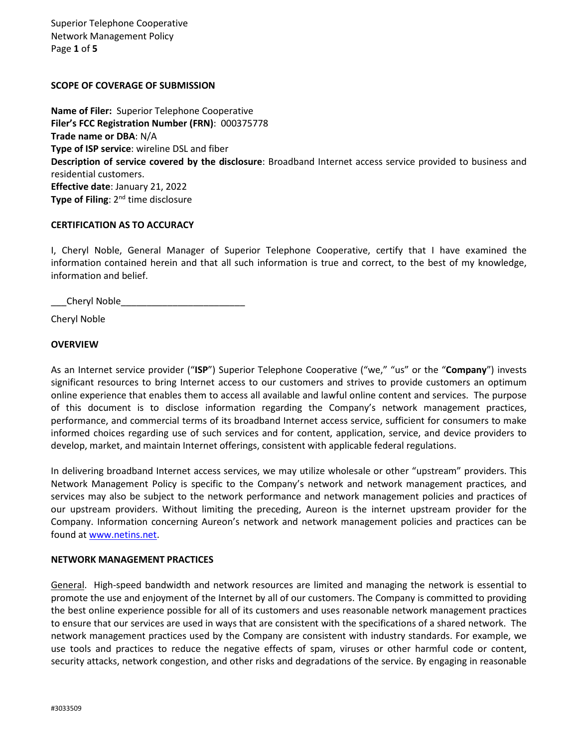Superior Telephone Cooperative Network Management Policy Page **1** of **5**

# **SCOPE OF COVERAGE OF SUBMISSION**

**Name of Filer:** Superior Telephone Cooperative **Filer's FCC Registration Number (FRN)**: 000375778 **Trade name or DBA**: N/A **Type of ISP service**: wireline DSL and fiber **Description of service covered by the disclosure**: Broadband Internet access service provided to business and residential customers. **Effective date**: January 21, 2022 **Type of Filing**: 2<sup>nd</sup> time disclosure

# **CERTIFICATION AS TO ACCURACY**

I, Cheryl Noble, General Manager of Superior Telephone Cooperative, certify that I have examined the information contained herein and that all such information is true and correct, to the best of my knowledge, information and belief.

\_\_\_Cheryl Noble\_\_\_\_\_\_\_\_\_\_\_\_\_\_\_\_\_\_\_\_\_\_\_\_

Cheryl Noble

# **OVERVIEW**

As an Internet service provider ("**ISP**") Superior Telephone Cooperative ("we," "us" or the "**Company**") invests significant resources to bring Internet access to our customers and strives to provide customers an optimum online experience that enables them to access all available and lawful online content and services. The purpose of this document is to disclose information regarding the Company's network management practices, performance, and commercial terms of its broadband Internet access service, sufficient for consumers to make informed choices regarding use of such services and for content, application, service, and device providers to develop, market, and maintain Internet offerings, consistent with applicable federal regulations.

In delivering broadband Internet access services, we may utilize wholesale or other "upstream" providers. This Network Management Policy is specific to the Company's network and network management practices, and services may also be subject to the network performance and network management policies and practices of our upstream providers. Without limiting the preceding, Aureon is the internet upstream provider for the Company. Information concerning Aureon's network and network management policies and practices can be found at [www.netins.net.](http://www.netins.net/)

#### **NETWORK MANAGEMENT PRACTICES**

General. High-speed bandwidth and network resources are limited and managing the network is essential to promote the use and enjoyment of the Internet by all of our customers. The Company is committed to providing the best online experience possible for all of its customers and uses reasonable network management practices to ensure that our services are used in ways that are consistent with the specifications of a shared network. The network management practices used by the Company are consistent with industry standards. For example, we use tools and practices to reduce the negative effects of spam, viruses or other harmful code or content, security attacks, network congestion, and other risks and degradations of the service. By engaging in reasonable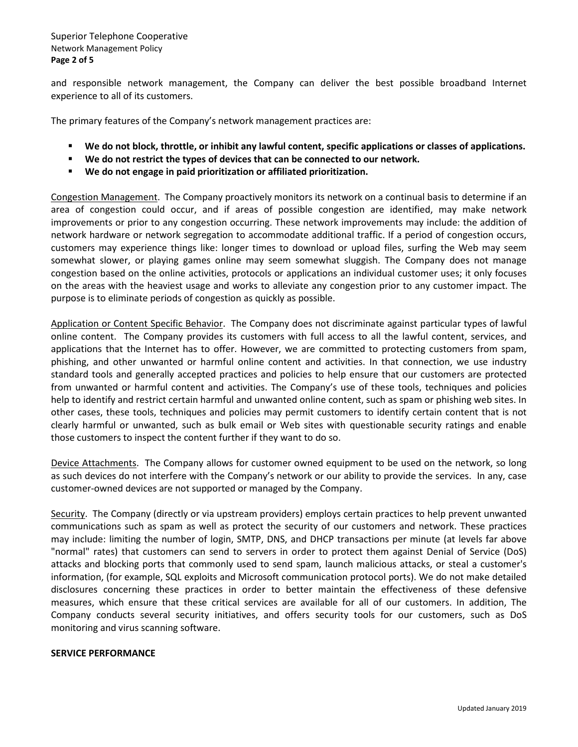and responsible network management, the Company can deliver the best possible broadband Internet experience to all of its customers.

The primary features of the Company's network management practices are:

- **We do not block, throttle, or inhibit any lawful content, specific applications or classes of applications.**
- **We do not restrict the types of devices that can be connected to our network.**
- **We do not engage in paid prioritization or affiliated prioritization.**

Congestion Management. The Company proactively monitors its network on a continual basis to determine if an area of congestion could occur, and if areas of possible congestion are identified, may make network improvements or prior to any congestion occurring. These network improvements may include: the addition of network hardware or network segregation to accommodate additional traffic. If a period of congestion occurs, customers may experience things like: longer times to download or upload files, surfing the Web may seem somewhat slower, or playing games online may seem somewhat sluggish. The Company does not manage congestion based on the online activities, protocols or applications an individual customer uses; it only focuses on the areas with the heaviest usage and works to alleviate any congestion prior to any customer impact. The purpose is to eliminate periods of congestion as quickly as possible.

Application or Content Specific Behavior. The Company does not discriminate against particular types of lawful online content. The Company provides its customers with full access to all the lawful content, services, and applications that the Internet has to offer. However, we are committed to protecting customers from spam, phishing, and other unwanted or harmful online content and activities. In that connection, we use industry standard tools and generally accepted practices and policies to help ensure that our customers are protected from unwanted or harmful content and activities. The Company's use of these tools, techniques and policies help to identify and restrict certain harmful and unwanted online content, such as spam or phishing web sites. In other cases, these tools, techniques and policies may permit customers to identify certain content that is not clearly harmful or unwanted, such as bulk email or Web sites with questionable security ratings and enable those customers to inspect the content further if they want to do so.

Device Attachments. The Company allows for customer owned equipment to be used on the network, so long as such devices do not interfere with the Company's network or our ability to provide the services. In any, case customer-owned devices are not supported or managed by the Company.

Security. The Company (directly or via upstream providers) employs certain practices to help prevent unwanted communications such as spam as well as protect the security of our customers and network. These practices may include: limiting the number of login, SMTP, DNS, and DHCP transactions per minute (at levels far above "normal" rates) that customers can send to servers in order to protect them against Denial of Service (DoS) attacks and blocking ports that commonly used to send spam, launch malicious attacks, or steal a customer's information, (for example, SQL exploits and Microsoft communication protocol ports). We do not make detailed disclosures concerning these practices in order to better maintain the effectiveness of these defensive measures, which ensure that these critical services are available for all of our customers. In addition, The Company conducts several security initiatives, and offers security tools for our customers, such as DoS monitoring and virus scanning software.

#### **SERVICE PERFORMANCE**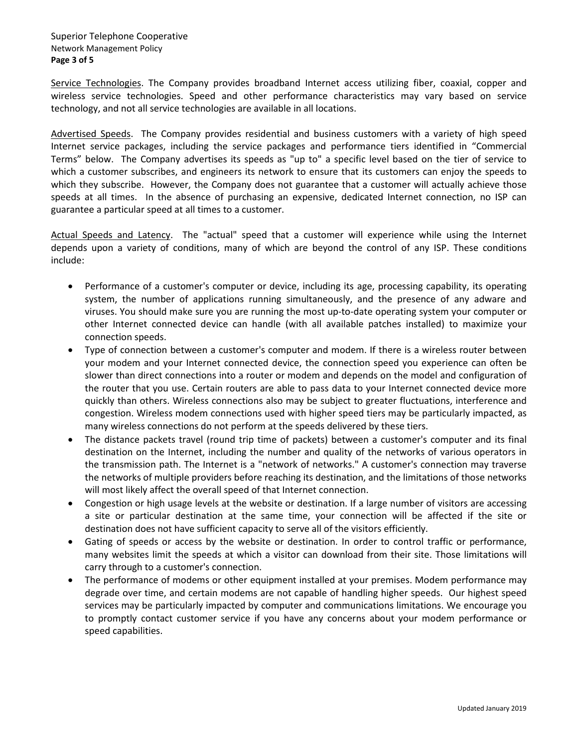Service Technologies. The Company provides broadband Internet access utilizing fiber, coaxial, copper and wireless service technologies. Speed and other performance characteristics may vary based on service technology, and not all service technologies are available in all locations.

Advertised Speeds. The Company provides residential and business customers with a variety of high speed Internet service packages, including the service packages and performance tiers identified in "Commercial Terms" below. The Company advertises its speeds as "up to" a specific level based on the tier of service to which a customer subscribes, and engineers its network to ensure that its customers can enjoy the speeds to which they subscribe. However, the Company does not guarantee that a customer will actually achieve those speeds at all times. In the absence of purchasing an expensive, dedicated Internet connection, no ISP can guarantee a particular speed at all times to a customer.

Actual Speeds and Latency. The "actual" speed that a customer will experience while using the Internet depends upon a variety of conditions, many of which are beyond the control of any ISP. These conditions include:

- Performance of a customer's computer or device, including its age, processing capability, its operating system, the number of applications running simultaneously, and the presence of any adware and viruses. You should make sure you are running the most up-to-date operating system your computer or other Internet connected device can handle (with all available patches installed) to maximize your connection speeds.
- Type of connection between a customer's computer and modem. If there is a wireless router between your modem and your Internet connected device, the connection speed you experience can often be slower than direct connections into a router or modem and depends on the model and configuration of the router that you use. Certain routers are able to pass data to your Internet connected device more quickly than others. Wireless connections also may be subject to greater fluctuations, interference and congestion. Wireless modem connections used with higher speed tiers may be particularly impacted, as many wireless connections do not perform at the speeds delivered by these tiers.
- The distance packets travel (round trip time of packets) between a customer's computer and its final destination on the Internet, including the number and quality of the networks of various operators in the transmission path. The Internet is a "network of networks." A customer's connection may traverse the networks of multiple providers before reaching its destination, and the limitations of those networks will most likely affect the overall speed of that Internet connection.
- Congestion or high usage levels at the website or destination. If a large number of visitors are accessing a site or particular destination at the same time, your connection will be affected if the site or destination does not have sufficient capacity to serve all of the visitors efficiently.
- Gating of speeds or access by the website or destination. In order to control traffic or performance, many websites limit the speeds at which a visitor can download from their site. Those limitations will carry through to a customer's connection.
- The performance of modems or other equipment installed at your premises. Modem performance may degrade over time, and certain modems are not capable of handling higher speeds. Our highest speed services may be particularly impacted by computer and communications limitations. We encourage you to promptly contact customer service if you have any concerns about your modem performance or speed capabilities.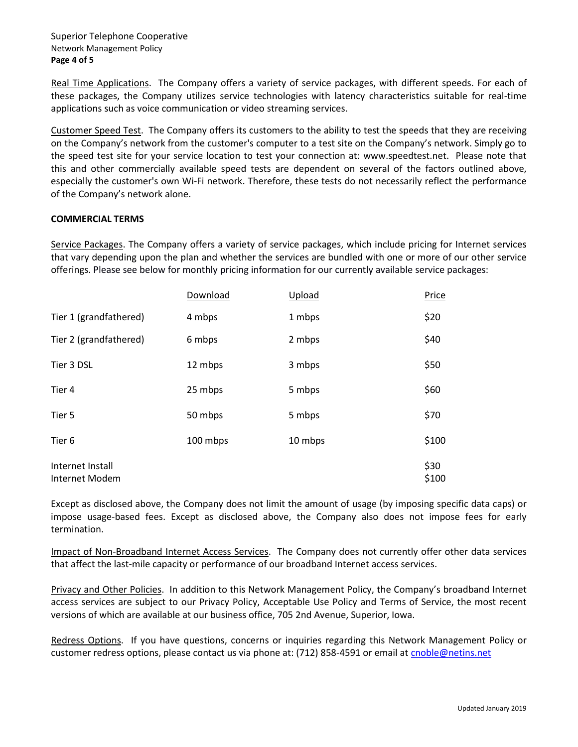### Superior Telephone Cooperative Network Management Policy **Page 4 of 5**

Real Time Applications. The Company offers a variety of service packages, with different speeds. For each of these packages, the Company utilizes service technologies with latency characteristics suitable for real-time applications such as voice communication or video streaming services.

Customer Speed Test. The Company offers its customers to the ability to test the speeds that they are receiving on the Company's network from the customer's computer to a test site on the Company's network. Simply go to the speed test site for your service location to test your connection at: www.speedtest.net. Please note that this and other commercially available speed tests are dependent on several of the factors outlined above, especially the customer's own Wi-Fi network. Therefore, these tests do not necessarily reflect the performance of the Company's network alone.

# **COMMERCIAL TERMS**

Service Packages. The Company offers a variety of service packages, which include pricing for Internet services that vary depending upon the plan and whether the services are bundled with one or more of our other service offerings. Please see below for monthly pricing information for our currently available service packages:

|                                    | Download | Upload  | Price         |
|------------------------------------|----------|---------|---------------|
| Tier 1 (grandfathered)             | 4 mbps   | 1 mbps  | \$20          |
| Tier 2 (grandfathered)             | 6 mbps   | 2 mbps  | \$40          |
| Tier 3 DSL                         | 12 mbps  | 3 mbps  | \$50          |
| Tier 4                             | 25 mbps  | 5 mbps  | \$60          |
| Tier 5                             | 50 mbps  | 5 mbps  | \$70          |
| Tier 6                             | 100 mbps | 10 mbps | \$100         |
| Internet Install<br>Internet Modem |          |         | \$30<br>\$100 |

Except as disclosed above, the Company does not limit the amount of usage (by imposing specific data caps) or impose usage-based fees. Except as disclosed above, the Company also does not impose fees for early termination.

Impact of Non-Broadband Internet Access Services. The Company does not currently offer other data services that affect the last-mile capacity or performance of our broadband Internet access services.

Privacy and Other Policies. In addition to this Network Management Policy, the Company's broadband Internet access services are subject to our Privacy Policy, Acceptable Use Policy and Terms of Service, the most recent versions of which are available at our business office, 705 2nd Avenue, Superior, Iowa.

Redress Options. If you have questions, concerns or inquiries regarding this Network Management Policy or customer redress options, please contact us via phone at: (712) 858-4591 or email at cnoble@netins.net